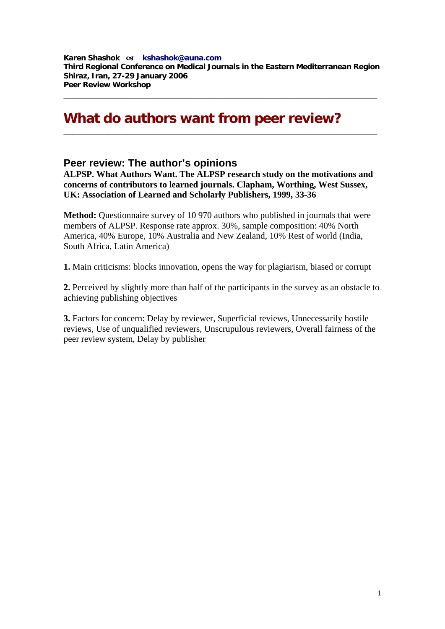**Karen Shashok kshashok@auna.com Third Regional Conference on Medical Journals in the Eastern Mediterranean Region Shiraz, Iran, 27-29 January 2006 Peer Review Workshop**  \_\_\_\_\_\_\_\_\_\_\_\_\_\_\_\_\_\_\_\_\_\_\_\_\_\_\_\_\_\_\_\_\_\_\_\_\_\_\_\_\_\_\_\_\_\_\_\_\_\_\_\_\_\_\_\_\_\_\_\_\_\_\_\_\_\_\_\_\_\_

\_\_\_\_\_\_\_\_\_\_\_\_\_\_\_\_\_\_\_\_\_\_\_\_\_\_\_\_\_\_\_\_\_\_\_\_\_\_\_\_\_\_\_\_\_\_\_\_\_\_\_\_\_\_\_\_\_\_\_\_\_\_\_\_\_\_\_\_\_\_

# **What do authors want from peer review?**

#### **Peer review: The author's opinions**

**ALPSP. What Authors Want. The ALPSP research study on the motivations and concerns of contributors to learned journals. Clapham, Worthing, West Sussex, UK: Association of Learned and Scholarly Publishers, 1999, 33-36** 

**Method:** Questionnaire survey of 10 970 authors who published in journals that were members of ALPSP. Response rate approx. 30%, sample composition: 40% North America, 40% Europe, 10% Australia and New Zealand, 10% Rest of world (India, South Africa, Latin America)

**1.** Main criticisms: blocks innovation, opens the way for plagiarism, biased or corrupt

**2.** Perceived by slightly more than half of the participants in the survey as an obstacle to achieving publishing objectives

**3.** Factors for concern: Delay by reviewer, Superficial reviews, Unnecessarily hostile reviews, Use of unqualified reviewers, Unscrupulous reviewers, Overall fairness of the peer review system, Delay by publisher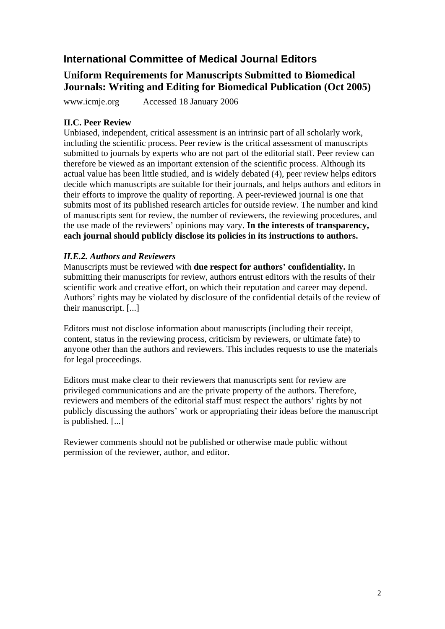# **International Committee of Medical Journal Editors**

# **Uniform Requirements for Manuscripts Submitted to Biomedical Journals: Writing and Editing for Biomedical Publication (Oct 2005)**

www.icmje.org Accessed 18 January 2006

#### **II.C. Peer Review**

Unbiased, independent, critical assessment is an intrinsic part of all scholarly work, including the scientific process. Peer review is the critical assessment of manuscripts submitted to journals by experts who are not part of the editorial staff. Peer review can therefore be viewed as an important extension of the scientific process. Although its actual value has been little studied, and is widely debated (4), peer review helps editors decide which manuscripts are suitable for their journals, and helps authors and editors in their efforts to improve the quality of reporting. A peer-reviewed journal is one that submits most of its published research articles for outside review. The number and kind of manuscripts sent for review, the number of reviewers, the reviewing procedures, and the use made of the reviewers' opinions may vary. **In the interests of transparency, each journal should publicly disclose its policies in its instructions to authors.**

#### *II.E.2. Authors and Reviewers*

Manuscripts must be reviewed with **due respect for authors' confidentiality.** In submitting their manuscripts for review, authors entrust editors with the results of their scientific work and creative effort, on which their reputation and career may depend. Authors' rights may be violated by disclosure of the confidential details of the review of their manuscript. [...]

Editors must not disclose information about manuscripts (including their receipt, content, status in the reviewing process, criticism by reviewers, or ultimate fate) to anyone other than the authors and reviewers. This includes requests to use the materials for legal proceedings.

Editors must make clear to their reviewers that manuscripts sent for review are privileged communications and are the private property of the authors. Therefore, reviewers and members of the editorial staff must respect the authors' rights by not publicly discussing the authors' work or appropriating their ideas before the manuscript is published. [...]

Reviewer comments should not be published or otherwise made public without permission of the reviewer, author, and editor.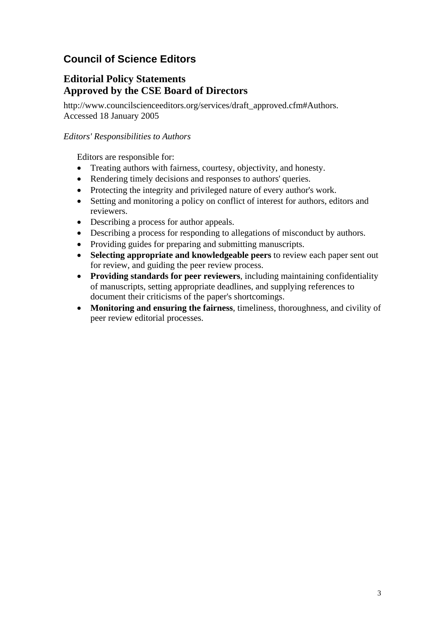# **Council of Science Editors**

## **Editorial Policy Statements Approved by the CSE Board of Directors**

http://www.councilscienceeditors.org/services/draft\_approved.cfm#Authors. Accessed 18 January 2005

#### *Editors' Responsibilities to Authors*

Editors are responsible for:

- Treating authors with fairness, courtesy, objectivity, and honesty.
- Rendering timely decisions and responses to authors' queries.
- Protecting the integrity and privileged nature of every author's work.
- Setting and monitoring a policy on conflict of interest for authors, editors and reviewers.
- Describing a process for author appeals.
- Describing a process for responding to allegations of misconduct by authors.
- Providing guides for preparing and submitting manuscripts.
- **Selecting appropriate and knowledgeable peers** to review each paper sent out for review, and guiding the peer review process.
- **Providing standards for peer reviewers**, including maintaining confidentiality of manuscripts, setting appropriate deadlines, and supplying references to document their criticisms of the paper's shortcomings.
- **Monitoring and ensuring the fairness**, timeliness, thoroughness, and civility of peer review editorial processes.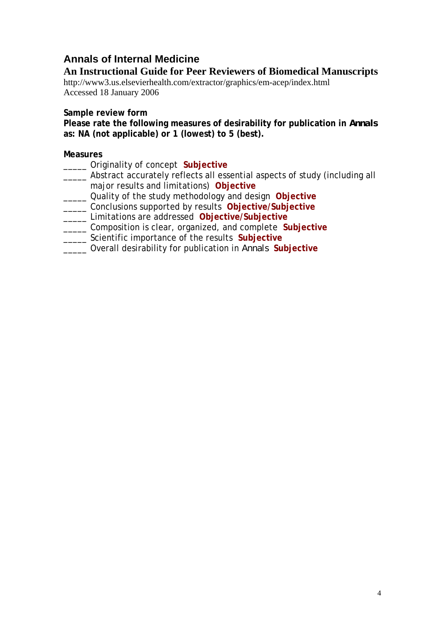# **Annals of Internal Medicine**

## **An Instructional Guide for Peer Reviewers of Biomedical Manuscripts**

http://www3.us.elsevierhealth.com/extractor/graphics/em-acep/index.html Accessed 18 January 2006

#### **Sample review form**

**Please rate the following measures of desirability for publication in** *Annals* **as: NA (not applicable) or 1 (lowest) to 5 (best).** 

#### **Measures**

- \_\_\_\_\_ Originality of concept **Subjective**
- \_\_\_\_\_ Abstract accurately reflects all essential aspects of study (including all major results and limitations) **Objective**
- \_\_\_\_\_ Quality of the study methodology and design **Objective**
- \_\_\_\_\_ Conclusions supported by results **Objective/Subjective**
- \_\_\_\_\_ Limitations are addressed **Objective/Subjective**
- \_\_\_\_\_ Composition is clear, organized, and complete **Subjective**
- \_\_\_\_\_ Scientific importance of the results **Subjective**
- \_\_\_\_\_ Overall desirability for publication in *Annals* **Subjective**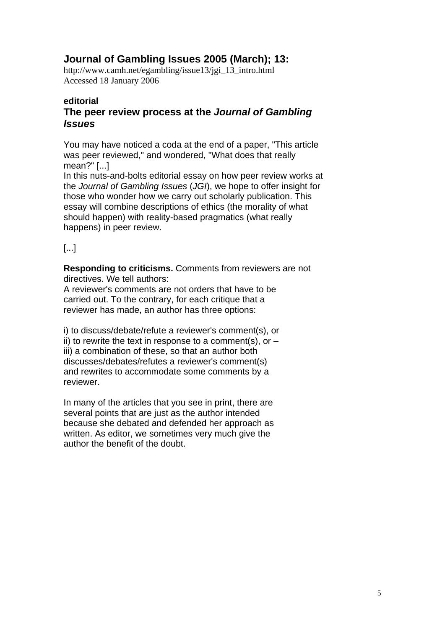# **Journal of Gambling Issues 2005 (March); 13:**

http://www.camh.net/egambling/issue13/jgi\_13\_intro.html Accessed 18 January 2006

### **editorial The peer review process at the** *Journal of Gambling Issues*

You may have noticed a coda at the end of a paper, "This article was peer reviewed," and wondered, "What does that really mean?" [...]

In this nuts-and-bolts editorial essay on how peer review works at the *Journal of Gambling Issues* (*JGI*), we hope to offer insight for those who wonder how we carry out scholarly publication. This essay will combine descriptions of ethics (the morality of what should happen) with reality-based pragmatics (what really happens) in peer review.

## [...]

**Responding to criticisms.** Comments from reviewers are not directives. We tell authors:

A reviewer's comments are not orders that have to be carried out. To the contrary, for each critique that a reviewer has made, an author has three options:

i) to discuss/debate/refute a reviewer's comment(s), or ii) to rewrite the text in response to a comment(s), or  $$ iii) a combination of these, so that an author both discusses/debates/refutes a reviewer's comment(s) and rewrites to accommodate some comments by a reviewer.

In many of the articles that you see in print, there are several points that are just as the author intended because she debated and defended her approach as written. As editor, we sometimes very much give the author the benefit of the doubt.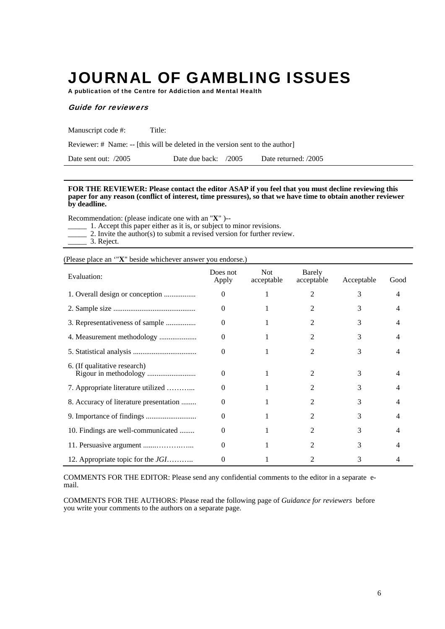# JOURNAL OF GAMBLING ISSUES

A publication of the Centre for Addiction and Mental Health

#### Guide for reviewers

Manuscript code #: Title:

Reviewer: # Name: -- [this will be deleted in the version sent to the author]

| Date sent out: $/2005$ | Date due back: $/2005$ |  | Date returned: /2005 |
|------------------------|------------------------|--|----------------------|
|------------------------|------------------------|--|----------------------|

#### **FOR THE REVIEWER: Please contact the editor ASAP if you feel that you must decline reviewing this paper for any reason (conflict of interest, time pressures), so that we have time to obtain another reviewer by deadline.**

Recommendation: (please indicate one with an "**X**" )--

1. Accept this paper either as it is, or subject to minor revisions.

2. Invite the author(s) to submit a revised version for further review.

\_\_\_\_\_ 3. Reject.

(Please place an '"**X**" beside whichever answer you endorse.)

| Evaluation:                            | Does not<br>Apply | <b>Not</b><br>acceptable | Barely<br>acceptable        | Acceptable | Good |
|----------------------------------------|-------------------|--------------------------|-----------------------------|------------|------|
|                                        | $\Omega$          |                          | 2                           | 3          |      |
|                                        | $\Omega$          |                          | 2                           | 3          |      |
| 3. Representativeness of sample        | 0                 |                          | 2                           | 3          |      |
|                                        | $\theta$          |                          | $\mathcal{D}_{\mathcal{L}}$ | 3          |      |
|                                        | 0                 |                          | $\overline{2}$              | 3          |      |
| 6. (If qualitative research)           | 0                 |                          | 2                           | 3          |      |
| 7. Appropriate literature utilized     | 0                 |                          | 2                           | 3          |      |
| 8. Accuracy of literature presentation | 0                 |                          | 2                           | 3          |      |
|                                        | 0                 |                          | 2                           | 3          |      |
| 10. Findings are well-communicated     | $\Omega$          |                          | 2                           | 3          |      |
|                                        | 0                 |                          | 2                           | 3          |      |
| 12. Appropriate topic for the JGI      | $\Omega$          |                          |                             | 3          |      |

COMMENTS FOR THE EDITOR: Please send any confidential comments to the editor in a separate email.

COMMENTS FOR THE AUTHORS: Please read the following page of *Guidance for reviewers* before you write your comments to the authors on a separate page.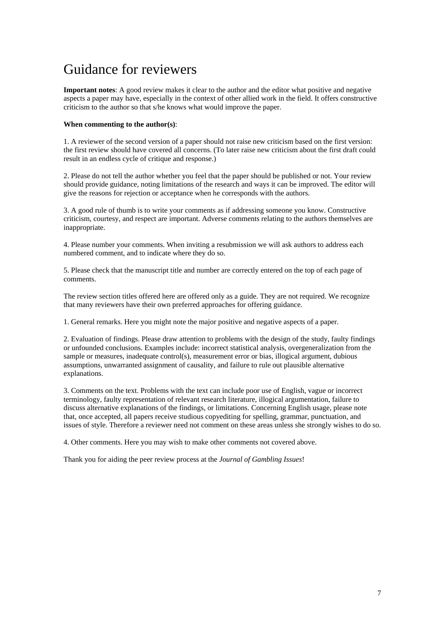# Guidance for reviewers

**Important notes**: A good review makes it clear to the author and the editor what positive and negative aspects a paper may have, especially in the context of other allied work in the field. It offers constructive criticism to the author so that s/he knows what would improve the paper.

#### **When commenting to the author(s)**:

1. A reviewer of the second version of a paper should not raise new criticism based on the first version: the first review should have covered all concerns. (To later raise new criticism about the first draft could result in an endless cycle of critique and response.)

2. Please do not tell the author whether you feel that the paper should be published or not. Your review should provide guidance, noting limitations of the research and ways it can be improved. The editor will give the reasons for rejection or acceptance when he corresponds with the authors.

3. A good rule of thumb is to write your comments as if addressing someone you know. Constructive criticism, courtesy, and respect are important. Adverse comments relating to the authors themselves are inappropriate.

4. Please number your comments. When inviting a resubmission we will ask authors to address each numbered comment, and to indicate where they do so.

5. Please check that the manuscript title and number are correctly entered on the top of each page of comments.

The review section titles offered here are offered only as a guide. They are not required. We recognize that many reviewers have their own preferred approaches for offering guidance.

1. General remarks. Here you might note the major positive and negative aspects of a paper.

2. Evaluation of findings. Please draw attention to problems with the design of the study, faulty findings or unfounded conclusions. Examples include: incorrect statistical analysis, overgeneralization from the sample or measures, inadequate control(s), measurement error or bias, illogical argument, dubious assumptions, unwarranted assignment of causality, and failure to rule out plausible alternative explanations.

3. Comments on the text. Problems with the text can include poor use of English, vague or incorrect terminology, faulty representation of relevant research literature, illogical argumentation, failure to discuss alternative explanations of the findings, or limitations. Concerning English usage, please note that, once accepted, all papers receive studious copyediting for spelling, grammar, punctuation, and issues of style. Therefore a reviewer need not comment on these areas unless she strongly wishes to do so.

4. Other comments. Here you may wish to make other comments not covered above.

Thank you for aiding the peer review process at the *Journal of Gambling Issues*!